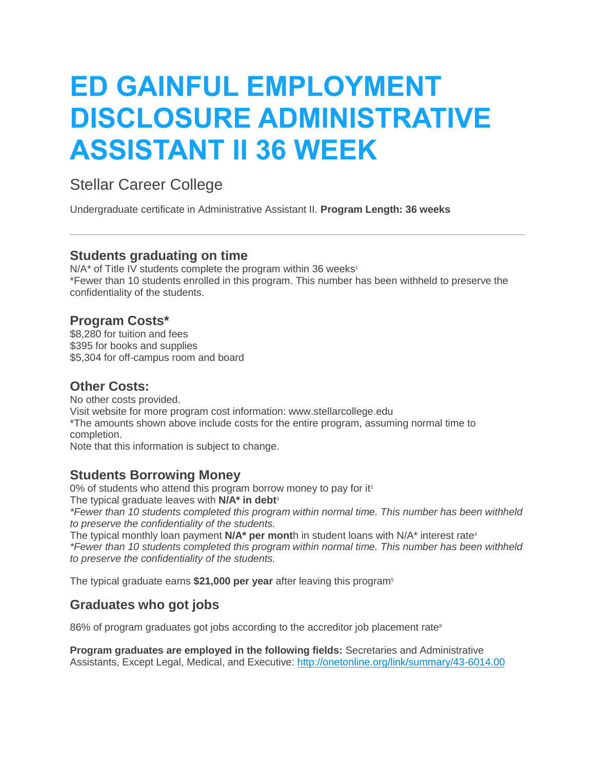# **ED GAINFUL EMPLOYMENT DISCLOSURE ADMINISTRATIVE ASSISTANT II 36 WEEK**

## Stellar Career College

Undergraduate certificate in Administrative Assistant II. **Program Length: 36 weeks**

## **Students graduating on time**

 $N/A^*$  of Title IV students complete the program within 36 weeks<sup>1</sup> \*Fewer than 10 students enrolled in this program. This number has been withheld to preserve the confidentiality of the students.

## **Program Costs\***

\$8,280 for tuition and fees \$395 for books and supplies \$5,304 for off-campus room and board

#### **Other Costs:**

No other costs provided. Visit website for more program cost information: www.stellarcollege.edu \*The amounts shown above include costs for the entire program, assuming normal time to completion.

Note that this information is subject to change.

## **Students Borrowing Money**

 $0\%$  of students who attend this program borrow money to pay for it<sup>2</sup>

The typical graduate leaves with **N/A\* in debt**<sup>3</sup>

*\*Fewer than 10 students completed this program within normal time. This number has been withheld to preserve the confidentiality of the students.*

The typical monthly loan payment **N/A<sup>\*</sup> per mont**h in student loans with N/A<sup>\*</sup> interest rate<sup>4</sup> *\*Fewer than 10 students completed this program within normal time. This number has been withheld to preserve the confidentiality of the students.*

The typical graduate earns **\$21,000 per year** after leaving this program<sup>5</sup>

## **Graduates who got jobs**

86% of program graduates got jobs according to the accreditor job placement rate<sup>8</sup>

**Program graduates are employed in the following fields:** Secretaries and Administrative Assistants, Except Legal, Medical, and Executive: <http://onetonline.org/link/summary/43-6014.00>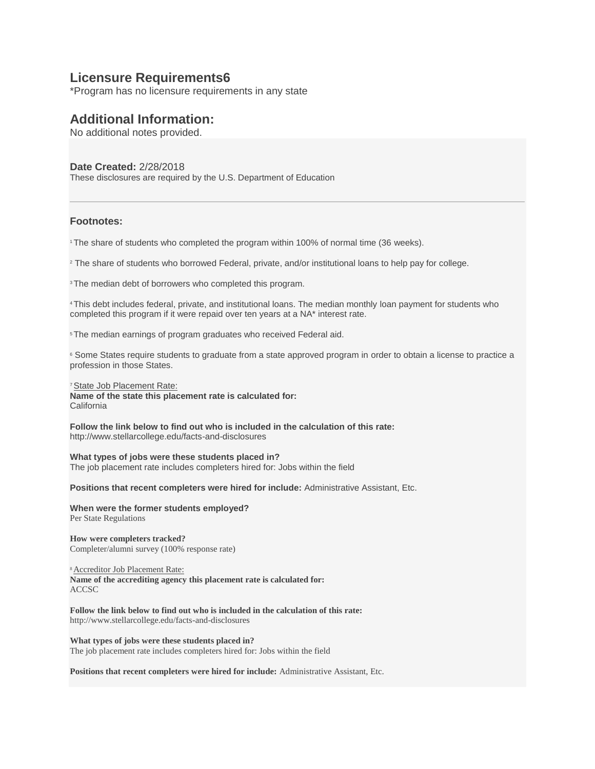#### **Licensure Requirements6**

\*Program has no licensure requirements in any state

#### **Additional Information:**

No additional notes provided.

#### **Date Created:** 2/28/2018

These disclosures are required by the U.S. Department of Education

#### **Footnotes:**

<sup>1</sup>The share of students who completed the program within 100% of normal time (36 weeks).

<sup>2</sup> The share of students who borrowed Federal, private, and/or institutional loans to help pay for college.

<sup>3</sup>The median debt of borrowers who completed this program.

<sup>4</sup>This debt includes federal, private, and institutional loans. The median monthly loan payment for students who completed this program if it were repaid over ten years at a NA\* interest rate.

<sup>5</sup>The median earnings of program graduates who received Federal aid.

<sup>6</sup> Some States require students to graduate from a state approved program in order to obtain a license to practice a profession in those States.

#### <sup>7</sup> State Job Placement Rate:

**Name of the state this placement rate is calculated for:** California

**Follow the link below to find out who is included in the calculation of this rate:** http://www.stellarcollege.edu/facts-and-disclosures

#### **What types of jobs were these students placed in?**

The job placement rate includes completers hired for: Jobs within the field

**Positions that recent completers were hired for include:** Administrative Assistant, Etc.

**When were the former students employed?** Per State Regulations

**How were completers tracked?** Completer/alumni survey (100% response rate)

<sup>8</sup>Accreditor Job Placement Rate:

**Name of the accrediting agency this placement rate is calculated for:** ACCSC

**Follow the link below to find out who is included in the calculation of this rate:** http://www.stellarcollege.edu/facts-and-disclosures

**What types of jobs were these students placed in?** The job placement rate includes completers hired for: Jobs within the field

**Positions that recent completers were hired for include:** Administrative Assistant, Etc.